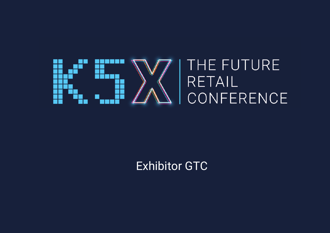

# Exhibitor GTC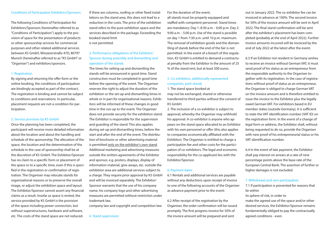## Conditions of Participation Exhibitors/Sponsors

The following Conditions of Participation for Exhibitors/Sponsors (hereinafter referred to as "Conditions of Participation") apply to the provision of space for the presentation of products or other sponsorship services for commercial purposes and other related additional services between K5 GmbH, Winzererstraße 47D, 80797 Munich (hereinafter referred to as "K5 GmbH" or "Organiser") and exhibitors/sponsors.

#### 1. Registration

By signing and returning the offer form or the online booking, the conditions of participation are bindingly accepted as part of the contract. The registration is binding and cannot be subject to conditions and reservations. In particular, placement requests are not a condition for participation.

### 2. Service provision by K5 GmbH

Once the planning has been completed, the participant will receive more detailed information about the location and about the handling and schedule of the sponsorship. The allocation of the space, the location and the determination of the schedule in the case of sponsorship shall be at the discretion of K5 GmbH. The Exhibitor/Sponsor has no claim to a specific form or placement of the space or to a specific time, even if this is specified in the registration or confirmation of registration. The Organiser may relocate stands for organisational reasons or to preserve the overall image, or adjust the exhibition space and layout. The Exhibitor/Sponsor cannot assert any financial claims as a result. Insofar as space is rented, the service provided by K5 GmbH is the provision of the space including power connection, but without superstructures, hardware and software, etc. The costs of the stand space are not reduced.

If there are columns, roofing or other fixed installations on the stand area, this does not lead to a reduction in the costs. The price of the exhibition stand refers to the pure exhibition space and the services described in the package. Exceeding the booked stand limit

is not permitted.

# 3. Performance obligations of the Exhibitor/ Sponsor during assembly and dismantling and operation of the stands

The times for setting up and dismantling the stands will be announced in good time. Stand construction must be completed in good time before the opening of the event. The Organiser reserves the right to adjust the duration of the exhibition or the set-up and dismantling times in whole or in part for organisational reasons. Exhibitors will be informed of these changes in good time in the run-up to the event. The Organiser does not provide security for the exhibition stand. The Exhibitor is responsible for the supervision and guarding of the stand. This also applies during set-up and dismantling times, before the start and after the end of the event. The distribution of brochures or other advertising material is permitted only on the exhibitor's own stand. Additional marketing and advertising measures outside the written agreements of the Exhibitor and sponsor, e.g. posters, displays, display of information material, give-aways, etc. outside the exhibition area are additional services subject to a charge. They require prior approval by K5 GmbH and will be invoiced separately. The Exhibitor/ Sponsor warrants that the use of his company name, his company logo and other advertising measures are permitted without restriction under trademark law,

company law and copyright and competition law.

4. Stand supervision

# For the duration of the event,

all stands must be properly equipped and staffed with competent personnel. Stand times are mandatory: Day 1: 8:30 a.m. - 6:00 p.m. Day 2: 9:00 a.m. - 5:00 p.m. Use of the stand is possible on day 1 from 7:30 a.m. until 10 p.m. maximum. The removal of exhibition goods and the dismantling of stands before the end of the fair is not permitted. In the event of a breach of this regulation, K5 GmbH is entitled to demand a contractual penalty from the Exhibitor in the amount of 25 % of the stand rent, but at least 500 euros.

# 5. Co-exhibitors, additionally represented companies, joint stands

1. The stand space booked at may not be exchanged, shared or otherwise transferred to third parties without the consent of K5 GmbH.

2. The inclusion of a co-exhibitor is subject to approval, whereby the Organiser may withhold his approval. A co-exhibitor is anyone who appears on the stand space allocated to an Exhibitor with his own personnel or offer (this also applies to companies economically affiliated with the Exhibitor). The Organiser is entitled to charge a participation fee and other costs for the participation of co-exhibitors. The legal and economic responsibility for the co-applicant lies with the Exhibitor/Sponsor.

# 6. Payment dates

6.1 Rentals and additional services are payable without any deductions upon receipt of invoice to one of the following accounts of the Organiser as advance payment prior to the event:

6.2 After receipt of the registration by the Organiser, the order confirmation will be issued promptly. The first progress invoice for 50% of the invoice amount will be prepared and sent

out in January 2022. The co-exhibitor fee can be invoiced in advance at 100%. The second invoice for 50% of the invoice amount will be sent in April 2022. The final stand confirmation will be sent after the exhibitor's placement has been completed (probably at the end of April 2022). Further invoice amounts incurred will be invoiced by the end of July 2022 at the latest after the event.

6.3 If an Exhibitor not resident in Germany wishes to receive an invoice without German VAT, it must send proof of his status as an entrepreneur from the responsible authority to the Organiser together with its registration. In the case of registrations without proof of status as an entrepreneur, the Organiser is obliged to charge German VAT on the invoice amount and is therefore entitled to issue the invoice to the Exhibitor plus the legally owed German VAT. For exhibitors based in EU member states (outside Germany), it is sufficient to state the VAT identification number (VAT ID) on the registration form. In the event of a change of legal form or address, the Exhibitor shall, without being requested to do so, provide the Organiser with new proof of his entrepreneurial status or his VAT identification number.

6.4 In the event of late payment, the Exhibitor shall pay interest on arrears at a rate of nine percentage points above the base rate of the European Central Bank. The assertion of further or higher damages is not excluded.

#### 7. Withdrawal and non-participation

7.1 If participation is prevented for reasons that lie within

its sphere of risk, in order to

make the agreed use of the space and/or other desired services, the Exhibitor/Sponsor remains fundamentally obliged to pay the contractually agreed conditions - even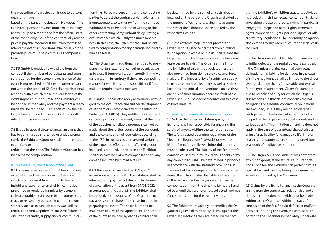the prevention of participation is due to personal decisions made

based on the pandemic situation. However, if the Exhibitor/Sponsor provides notice of its inability to attend up to 6 months before the official start of the event, only 75% of the contractually agreed price is payable. Warning: If the Exhibitor fails to attend the event, an additional fine of 50% of the package price must be paid to K5 as compensation.

7.2 K5 GmbH is entitled to withdraw from the contract if the number of participants and sponsors required for the economic realisation of the event is not reached or if there are other reasons not within the scope of K5 GmbH's organisational responsibilities which make the realisation of the event impossible. In this case, the Exhibitor will be notified immediately and the payment already made will be refunded. Further claims by the participant are excluded, unless K5 GmbH is guilty of intent or gross negligence.

7.3 If, due to special circumstances, an event that has begun must be shortened or ended prematurely, the Exhibitor/Sponsor shall not be entitled to a refund or

reduction of the price. The Exhibitor/Sponsor has no claims for compensation.

#### 8. Force majeure, cancellation of the event

8.1 Force majeure is an event that has a massive external impact on the contractual relationship, which is unforeseeable according to human insight and experience, and which cannot be prevented or rendered harmless by economically acceptable means even by the utmost care that can reasonably be expected in the circumstances, such as natural disasters, war, strikes, terror, pandemics, epidemics, massive failure or disruption of traffic, supply and/or communication links. Force majeure entitles the contracting parties to adjust the contract and, insofar as this is unreasonable, to withdraw from the contract. Withdrawal must be declared in writing to the other contracting party without delay, stating all circumstances which justify the unreasonableness. In this case, the Exhibitor shall not be entitled to compensation for any damage incurred by him as a result.

8.2 The Organiser is additionally entitled to postpone, shorten, extend or cancel an event, as well as to close it temporarily, permanently, in individual parts or in its entirety, if there are compelling reasons for which it is not responsible or if force majeure requires such a measure.

8.3 Clause 8.2 shall also apply accordingly with regard to the occurrence and further development of pandemics in accordance with the Infection Protection Act (IfSG). They entitle the Organiser to cancel or postpone the event, even if at the time of the decision no reliable prognosis can yet be made about the further course of the pandemic and the continuation of restrictions according to the IfSG. In such a case, a reasoned weighing of the expected effects on the affected groups involved is required. In this case, the Exhibitor shall also have no claim to compensation for any damage incurred by him as a result.

8.4 If the event is cancelled by 31/12/2021 in accordance with clause 8.3, the Exhibitor shall be released from payment of the rent. In the event of cancellation of the event from 01/01/2022 in accordance with clause 8.3, the Exhibitor shall be obliged, at the request of the Organiser, to pay a reasonable share of the costs incurred in preparing the event. The share is limited to a maximum of 20% of the agreed rent. The amount of the quota to be paid by each Exhibitor shall

be determined by the sum of all costs already incurred on the part of the Organiser, divided by the number of exhibitors, taking into account the size of the exhibition space booked by the respective Exhibitor.

8.5 Cases of force majeure that prevent the Organiser or its service partners from fulfilling its obligation in whole or in part shall release the Organiser from its obligations until the force majeure ceases to exist. The Organiser shall inform the Exhibitor of this without delay, unless it is also prevented from doing so by a case of force majeure. The impossibility of a sufficient supply of resources such as electricity as well as strikes, lock-outs and official interventions - unless they are only of short duration or are the fault of the Organiser - shall be deemed equivalent to a case of force majeure.

9. Liability, indemnification, limitation period 9.1 Within the rented exhibition space, the Exhibitor shall be responsible for ensuring the safety of anyone visiting the exhibition space. The safety-related operating regulations of the "Technical Regulations" (www.k5.de/events/ k5-konferenz/aussteller/wichtige-dokumente/) must be observed. The liability of the Exhibitor for damage caused by it, by its vicarious agents or by any co-exhibitors shall be determined in principle in accordance with the statutory provisions. In the event of loss or irreparable damage to rented items, the Exhibitor shall be liable for the amount of the replacement value (replacement value compensation) from the time the items are handed over until they are returned/collected, and not for compensation for the current value.

9.2 The Exhibitor irrevocably indemnifies the Organiser against all third-party claims against the Organiser, insofar as they are based on the fact

that the Exhibitor's exhibition space, its activities, its products, their intellectual content or its stand advertising violate third-party rights (in particular copyrights, image and name rights, trademark rights, competition rights, personal rights) or other statutory regulations. The indemnity obligation also extends to any warning, court and legal costs incurred.

9.3 The Organiser's strict liability for damages due to initial defects of the rental object is excluded. If the Organiser violates essential contractual obligations, his liability for damages in the case of simple negligence shall be limited to the direct average damage that is foreseeable and typical for the type of agreement. Claims for damages due to breaches of duty for which the Organiser is responsible that do not concern cardinal obligations or essential contractual obligations are excluded, unless they are based on gross negligence or intentional culpable conduct on the part of the Organiser and/or its agents and vicarious agents. This limitation of liability does not apply in the case of guaranteed characteristics or insofar as liability for damage to life, limb or health is mandatory due to statutory provisions as a result of negligence or intent.

9.4 The Organiser is not liable for loss or theft of exhibition goods, stand structures or stand fittings. For a fee, the Exhibitor can protect himself against loss and theft by hiring professional stand security approved by the Organiser.

9.5 Claims by the Exhibitor against the Organiser arising from the contractual relationship and all claims in connection therewith must be made in writing to the Organiser within ten days of the conclusion of the fair. Should defects or malfunctions occur during the event, these must be reported to the Organiser immediately. Otherwise,